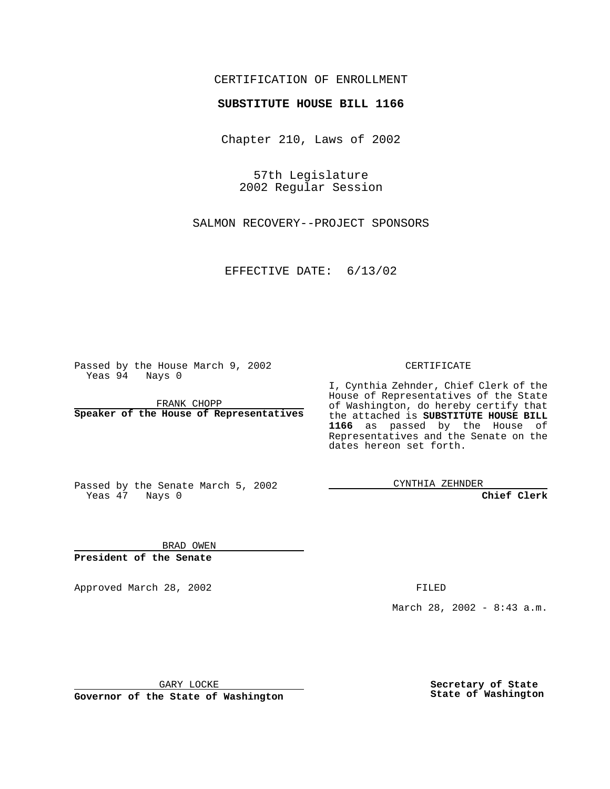### CERTIFICATION OF ENROLLMENT

# **SUBSTITUTE HOUSE BILL 1166**

Chapter 210, Laws of 2002

57th Legislature 2002 Regular Session

SALMON RECOVERY--PROJECT SPONSORS

EFFECTIVE DATE: 6/13/02

Passed by the House March 9, 2002 Yeas 94 Nays 0

FRANK CHOPP **Speaker of the House of Representatives** CERTIFICATE

I, Cynthia Zehnder, Chief Clerk of the House of Representatives of the State of Washington, do hereby certify that the attached is **SUBSTITUTE HOUSE BILL 1166** as passed by the House of Representatives and the Senate on the dates hereon set forth.

Passed by the Senate March 5, 2002 Yeas 47 Nays 0

CYNTHIA ZEHNDER

**Chief Clerk**

BRAD OWEN **President of the Senate**

Approved March 28, 2002 **FILED** 

March 28, 2002 - 8:43 a.m.

GARY LOCKE

**Governor of the State of Washington**

**Secretary of State State of Washington**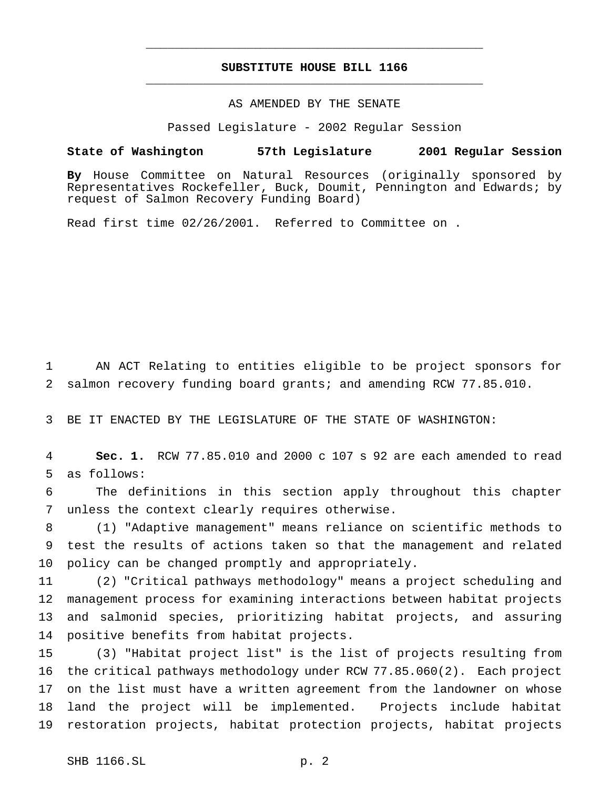## **SUBSTITUTE HOUSE BILL 1166** \_\_\_\_\_\_\_\_\_\_\_\_\_\_\_\_\_\_\_\_\_\_\_\_\_\_\_\_\_\_\_\_\_\_\_\_\_\_\_\_\_\_\_\_\_\_\_

\_\_\_\_\_\_\_\_\_\_\_\_\_\_\_\_\_\_\_\_\_\_\_\_\_\_\_\_\_\_\_\_\_\_\_\_\_\_\_\_\_\_\_\_\_\_\_

#### AS AMENDED BY THE SENATE

Passed Legislature - 2002 Regular Session

#### **State of Washington 57th Legislature 2001 Regular Session**

**By** House Committee on Natural Resources (originally sponsored by Representatives Rockefeller, Buck, Doumit, Pennington and Edwards; by request of Salmon Recovery Funding Board)

Read first time 02/26/2001. Referred to Committee on .

 AN ACT Relating to entities eligible to be project sponsors for salmon recovery funding board grants; and amending RCW 77.85.010.

BE IT ENACTED BY THE LEGISLATURE OF THE STATE OF WASHINGTON:

 **Sec. 1.** RCW 77.85.010 and 2000 c 107 s 92 are each amended to read as follows:

 The definitions in this section apply throughout this chapter unless the context clearly requires otherwise.

 (1) "Adaptive management" means reliance on scientific methods to test the results of actions taken so that the management and related policy can be changed promptly and appropriately.

 (2) "Critical pathways methodology" means a project scheduling and management process for examining interactions between habitat projects and salmonid species, prioritizing habitat projects, and assuring positive benefits from habitat projects.

 (3) "Habitat project list" is the list of projects resulting from the critical pathways methodology under RCW 77.85.060(2). Each project on the list must have a written agreement from the landowner on whose land the project will be implemented. Projects include habitat restoration projects, habitat protection projects, habitat projects